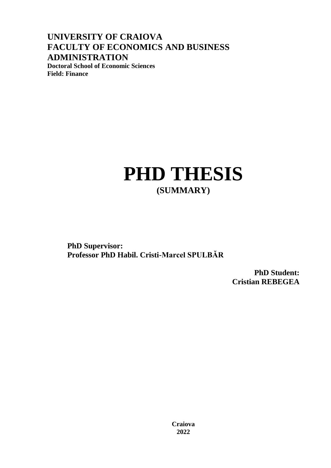**UNIVERSITY OF CRAIOVA FACULTY OF ECONOMICS AND BUSINESS ADMINISTRATION Doctoral School of Economic Sciences**

**Field: Finance**

## **PHD THESIS (SUMMARY)**

**PhD Supervisor: Professor PhD Habil. Cristi-Marcel SPULBĂR**

> **PhD Student: Cristian REBEGEA**

**Craiova 2022**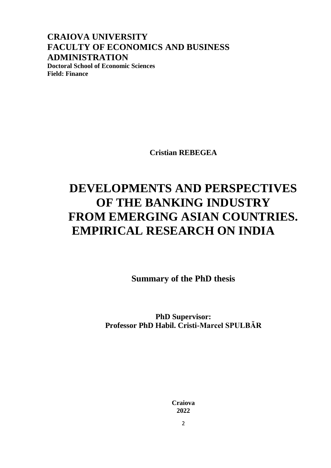**CRAIOVA UNIVERSITY FACULTY OF ECONOMICS AND BUSINESS ADMINISTRATION Doctoral School of Economic Sciences Field: Finance**

**Cristian REBEGEA**

## **DEVELOPMENTS AND PERSPECTIVES OF THE BANKING INDUSTRY FROM EMERGING ASIAN COUNTRIES. EMPIRICAL RESEARCH ON INDIA**

**Summary of the PhD thesis**

**PhD Supervisor: Professor PhD Habil. Cristi-Marcel SPULBĂR**

> **Craiova 2022**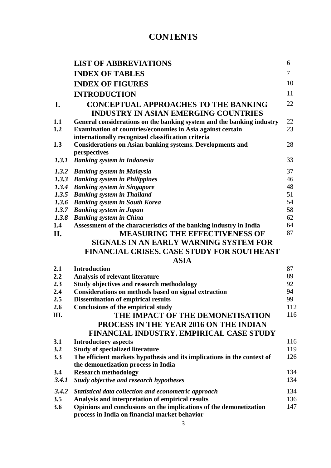## **CONTENTS**

|            | <b>LIST OF ABBREVIATIONS</b>                                                                                | 6        |
|------------|-------------------------------------------------------------------------------------------------------------|----------|
|            | <b>INDEX OF TABLES</b>                                                                                      | 7        |
|            | <b>INDEX OF FIGURES</b>                                                                                     | 10       |
|            | <b>INTRODUCTION</b>                                                                                         | 11       |
| I.         | <b>CONCEPTUAL APPROACHES TO THE BANKING</b>                                                                 | 22       |
|            | <b>INDUSTRY IN ASIAN EMERGING COUNTRIES</b>                                                                 |          |
| 1.1        | General considerations on the banking system and the banking industry                                       | 22       |
| 1.2        | Examination of countries/economies in Asia against certain                                                  | 23       |
|            | internationally recognized classification criteria                                                          |          |
| 1.3        | <b>Considerations on Asian banking systems. Developments and</b>                                            | 28       |
|            | perspectives                                                                                                |          |
| 1.3.1      | <b>Banking system in Indonesia</b>                                                                          | 33       |
| 1.3.2      | <b>Banking system in Malaysia</b>                                                                           | 37       |
| 1.3.3      | <b>Banking system in Philippines</b>                                                                        | 46       |
| 1.3.4      | <b>Banking system in Singapore</b>                                                                          | 48       |
| 1.3.5      | <b>Banking system in Thailand</b>                                                                           | 51       |
| 1.3.6      | <b>Banking system in South Korea</b>                                                                        | 54       |
| 1.3.7      | <b>Banking system in Japan</b>                                                                              | 58       |
| 1.3.8      | <b>Banking system in China</b>                                                                              | 62       |
| 1.4        | Assessment of the characteristics of the banking industry in India<br><b>MEASURING THE EFFECTIVENESS OF</b> | 64<br>87 |
| II.        |                                                                                                             |          |
|            | SIGNALS IN AN EARLY WARNING SYSTEM FOR                                                                      |          |
|            | <b>FINANCIAL CRISES. CASE STUDY FOR SOUTHEAST</b>                                                           |          |
|            | <b>ASIA</b>                                                                                                 |          |
| 2.1<br>2.2 | <b>Introduction</b>                                                                                         | 87<br>89 |
| 2.3        | <b>Analysis of relevant literature</b><br><b>Study objectives and research methodology</b>                  | 92       |
| 2.4        | Considerations on methods based on signal extraction                                                        | 94       |
| 2.5        | <b>Dissemination of empirical results</b>                                                                   | 99       |
| 2.6        | <b>Conclusions of the empirical study</b>                                                                   | 112      |
| Ш.         | THE IMPACT OF THE DEMONETISATION                                                                            | 116      |
|            | <b>PROCESS IN THE YEAR 2016 ON THE INDIAN</b>                                                               |          |
|            | FINANCIAL INDUSTRY. EMPIRICAL CASE STUDY                                                                    |          |
| 3.1        | <b>Introductory aspects</b>                                                                                 | 116      |
| 3.2        | <b>Study of specialized literature</b>                                                                      | 119      |
| 3.3        | The efficient markets hypothesis and its implications in the context of                                     | 126      |
|            | the demonetization process in India                                                                         |          |
| 3.4        | <b>Research methodology</b>                                                                                 | 134      |
| 3.4.1      | <b>Study objective and research hypotheses</b>                                                              | 134      |
| 3.4.2      | Statistical data collection and econometric approach                                                        | 134      |
| 3.5        | Analysis and interpretation of empirical results                                                            | 136      |
| 3.6        | Opinions and conclusions on the implications of the demonetization                                          | 147      |
|            | process in India on financial market behavior                                                               |          |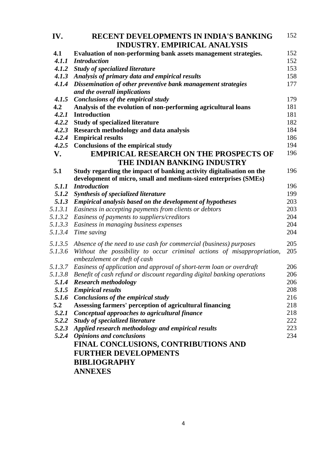| IV.     | <b>RECENT DEVELOPMENTS IN INDIA'S BANKING</b>                              | 152 |
|---------|----------------------------------------------------------------------------|-----|
|         | <b>INDUSTRY. EMPIRICAL ANALYSIS</b>                                        |     |
| 4.1     | Evaluation of non-performing bank assets management strategies.            | 152 |
| 4.1.1   | <b>Introduction</b>                                                        | 152 |
|         | 4.1.2 Study of specialized literature                                      | 153 |
| 4.1.3   | Analysis of primary data and empirical results                             | 158 |
| 4.1.4   | Dissemination of other preventive bank management strategies               | 177 |
|         | and the overall implications                                               |     |
| 4.1.5   | Conclusions of the empirical study                                         | 179 |
| 4.2     | Analysis of the evolution of non-performing agricultural loans             | 181 |
| 4.2.1   | <b>Introduction</b>                                                        | 181 |
| 4.2.2   | <b>Study of specialized literature</b>                                     | 182 |
| 4.2.3   | <b>Research methodology and data analysis</b>                              | 184 |
| 4.2.4   | <b>Empirical results</b>                                                   | 186 |
| 4.2.5   | <b>Conclusions of the empirical study</b>                                  | 194 |
| V.      | <b>EMPIRICAL RESEARCH ON THE PROSPECTS OF</b>                              | 196 |
|         | THE INDIAN BANKING INDUSTRY                                                |     |
| 5.1     | Study regarding the impact of banking activity digitalisation on the       | 196 |
|         | development of micro, small and medium-sized enterprises (SMEs)            |     |
| 5.1.1   | <b>Introduction</b>                                                        | 196 |
| 5.1.2   | <b>Synthesis of specialized literature</b>                                 | 199 |
|         | 5.1.3 Empirical analysis based on the development of hypotheses            | 203 |
| 5.1.3.1 | Easiness in accepting payments from clients or debtors                     | 203 |
| 5.1.3.2 | Easiness of payments to suppliers/creditors                                | 204 |
| 5.1.3.3 | Easiness in managing business expenses                                     | 204 |
| 5.1.3.4 | Time saving                                                                | 204 |
|         | 5.1.3.5 Absence of the need to use cash for commercial (business) purposes | 205 |
| 5.1.3.6 | Without the possibility to occur criminal actions of misappropriation,     | 205 |
|         | embezzlement or theft of cash                                              |     |
| 5.1.3.7 | Easiness of application and approval of short-term loan or overdraft       | 206 |
| 5.1.3.8 | Benefit of cash refund or discount regarding digital banking operations    | 206 |
|         | 5.1.4 Research methodology                                                 | 206 |
|         | 5.1.5 Empirical results                                                    | 208 |
| 5.1.6   | Conclusions of the empirical study                                         | 216 |
| 5.2     | Assessing farmers' perception of agricultural financing                    | 218 |
| 5.2.1   | Conceptual approaches to agricultural finance                              | 218 |
| 5.2.2   | <b>Study of specialized literature</b>                                     | 222 |
|         | 5.2.3 Applied research methodology and empirical results                   | 223 |
|         | 5.2.4 Opinions and conclusions                                             | 234 |
|         | FINAL CONCLUSIONS, CONTRIBUTIONS AND                                       |     |
|         | <b>FURTHER DEVELOPMENTS</b>                                                |     |
|         | <b>BIBLIOGRAPHY</b>                                                        |     |
|         | <b>ANNEXES</b>                                                             |     |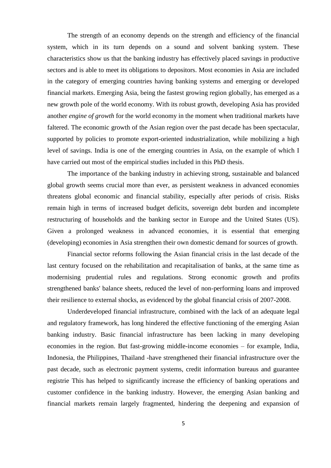The strength of an economy depends on the strength and efficiency of the financial system, which in its turn depends on a sound and solvent banking system. These characteristics show us that the banking industry has effectively placed savings in productive sectors and is able to meet its obligations to depositors. Most economies in Asia are included in the category of emerging countries having banking systems and emerging or developed financial markets. Emerging Asia, being the fastest growing region globally, has emerged as a new growth pole of the world economy. With its robust growth, developing Asia has provided another *engine of growth* for the world economy in the moment when traditional markets have faltered. The economic growth of the Asian region over the past decade has been spectacular, supported by policies to promote export-oriented industrialization, while mobilizing a high level of savings. India is one of the emerging countries in Asia, on the example of which I have carried out most of the empirical studies included in this PhD thesis.

The importance of the banking industry in achieving strong, sustainable and balanced global growth seems crucial more than ever, as persistent weakness in advanced economies threatens global economic and financial stability, especially after periods of crisis. Risks remain high in terms of increased budget deficits, sovereign debt burden and incomplete restructuring of households and the banking sector in Europe and the United States (US). Given a prolonged weakness in advanced economies, it is essential that emerging (developing) economies in Asia strengthen their own domestic demand for sources of growth.

Financial sector reforms following the Asian financial crisis in the last decade of the last century focused on the rehabilitation and recapitalisation of banks, at the same time as modernising prudential rules and regulations. Strong economic growth and profits strengthened banks' balance sheets, reduced the level of non-performing loans and improved their resilience to external shocks, as evidenced by the global financial crisis of 2007-2008.

Underdeveloped financial infrastructure, combined with the lack of an adequate legal and regulatory framework, has long hindered the effective functioning of the emerging Asian banking industry. Basic financial infrastructure has been lacking in many developing economies in the region. But fast-growing middle-income economies – for example, India, Indonesia, the Philippines, Thailand -have strengthened their financial infrastructure over the past decade, such as electronic payment systems, credit information bureaus and guarantee registrie This has helped to significantly increase the efficiency of banking operations and customer confidence in the banking industry. However, the emerging Asian banking and financial markets remain largely fragmented, hindering the deepening and expansion of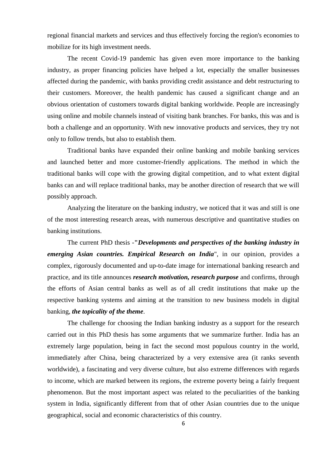regional financial markets and services and thus effectively forcing the region's economies to mobilize for its high investment needs.

The recent Covid-19 pandemic has given even more importance to the banking industry, as proper financing policies have helped a lot, especially the smaller businesses affected during the pandemic, with banks providing credit assistance and debt restructuring to their customers. Moreover, the health pandemic has caused a significant change and an obvious orientation of customers towards digital banking worldwide. People are increasingly using online and mobile channels instead of visiting bank branches. For banks, this was and is both a challenge and an opportunity. With new innovative products and services, they try not only to follow trends, but also to establish them.

Traditional banks have expanded their online banking and mobile banking services and launched better and more customer-friendly applications. The method in which the traditional banks will cope with the growing digital competition, and to what extent digital banks can and will replace traditional banks, may be another direction of research that we will possibly approach.

Analyzing the literature on the banking industry, we noticed that it was and still is one of the most interesting research areas, with numerous descriptive and quantitative studies on banking institutions.

The current PhD thesis -**"***Developments and perspectives of the banking industry in emerging Asian countries. Empirical Research on India*", in our opinion, provides a complex, rigorously documented and up-to-date image for international banking research and practice, and its title announces *research motivation, research purpose* and confirms, through the efforts of Asian central banks as well as of all credit institutions that make up the respective banking systems and aiming at the transition to new business models in digital banking, *the topicality of the theme*.

The challenge for choosing the Indian banking industry as a support for the research carried out in this PhD thesis has some arguments that we summarize further. India has an extremely large population, being in fact the second most populous country in the world, immediately after China, being characterized by a very extensive area (it ranks seventh worldwide), a fascinating and very diverse culture, but also extreme differences with regards to income, which are marked between its regions, the extreme poverty being a fairly frequent phenomenon. But the most important aspect was related to the peculiarities of the banking system in India, significantly different from that of other Asian countries due to the unique geographical, social and economic characteristics of this country.

6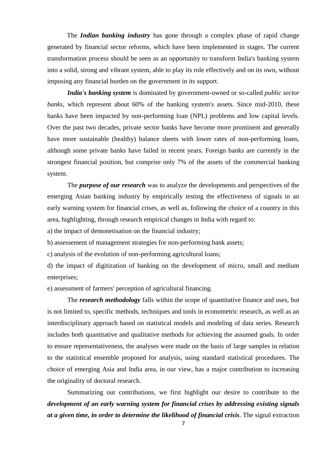The *Indian banking industry* has gone through a complex phase of rapid change generated by financial sector reforms, which have been implemented in stages. The current transformation process should be seen as an opportunity to transform India's banking system into a solid, strong and vibrant system, able to play its role effectively and on its own, without imposing any financial burden on the government in its support.

*India's banking system* is dominated by government-owned or so-called *public sector banks,* which represent about 60% of the banking system's assets. Since mid-2010, these banks have been impacted by non-performing loan (NPL) problems and low capital levels. Over the past two decades, private sector banks have become more prominent and generally have more sustainable (healthy) balance sheets with lower rates of non-performing loans, although some private banks have failed in recent years. Foreign banks are currently in the strongest financial position, but comprise only 7% of the assets of the commercial banking system.

The *purpose of our research* was to analyze the developments and perspectives of the emerging Asian banking industry by empirically testing the effectiveness of signals in an early warning system for financial crises, as well as, following the choice of a country in this area, highlighting, through research empirical changes in India with regard to:

a) the impact of demonetisation on the financial industry;

b) assessement of management strategies for non-performing bank assets;

c) analysis of the evolution of non-performing agricultural loans;

d) the impact of digitization of banking on the development of micro, small and medium enterprises;

e) assessment of farmers' perception of agricultural financing.

The *research methodology* falls within the scope of quantitative finance and uses, but is not limited to, specific methods, techniques and tools in econometric research, as well as an interdisciplinary approach based on statistical models and modeling of data series. Research includes both quantitative and qualitative methods for achieving the assumed goals. In order to ensure representativeness, the analyses were made on the basis of large samples in relation to the statistical ensemble proposed for analysis, using standard statistical procedures. The choice of emerging Asia and India area, in our view, has a major contribution to increasing the originality of doctoral research.

Summarizing our contributions, we first highlight our desire to contribute to the *development of an early warning system for financial crises by addressing existing signals at a given time, in order to determine the likelihood of financial crisis*. The signal extraction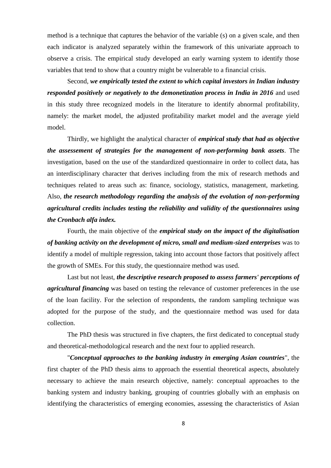method is a technique that captures the behavior of the variable (s) on a given scale, and then each indicator is analyzed separately within the framework of this univariate approach to observe a crisis. The empirical study developed an early warning system to identify those variables that tend to show that a country might be vulnerable to a financial crisis.

Second, *we empirically tested the extent to which capital investors in Indian industry responded positively or negatively to the demonetization process in India in 2016* and used in this study three recognized models in the literature to identify abnormal profitability, namely: the market model, the adjusted profitability market model and the average yield model.

Thirdly, we highlight the analytical character of *empirical study that had as objective the assessement of strategies for the management of non-performing bank assets*. The investigation, based on the use of the standardized questionnaire in order to collect data, has an interdisciplinary character that derives including from the mix of research methods and techniques related to areas such as: finance, sociology, statistics, management, marketing. Also, *the research methodology regarding the analysis of the evolution of non-performing agricultural credits includes testing the reliability and validity of the questionnaires using the Cronbach alfa index.*

Fourth, the main objective of the *empirical study on the impact of the digitalisation of banking activity on the development of micro, small and medium-sized enterprises* was to identify a model of multiple regression, taking into account those factors that positively affect the growth of SMEs. For this study, the questionnaire method was used.

Last but not least, *the descriptive research proposed to assess farmers' perceptions of agricultural financing* was based on testing the relevance of customer preferences in the use of the loan facility. For the selection of respondents, the random sampling technique was adopted for the purpose of the study, and the questionnaire method was used for data collection.

The PhD thesis was structured in five chapters, the first dedicated to conceptual study and theoretical-methodological research and the next four to applied research.

"*Conceptual approaches to the banking industry in emerging Asian countries*", the first chapter of the PhD thesis aims to approach the essential theoretical aspects, absolutely necessary to achieve the main research objective, namely: conceptual approaches to the banking system and industry banking, grouping of countries globally with an emphasis on identifying the characteristics of emerging economies, assessing the characteristics of Asian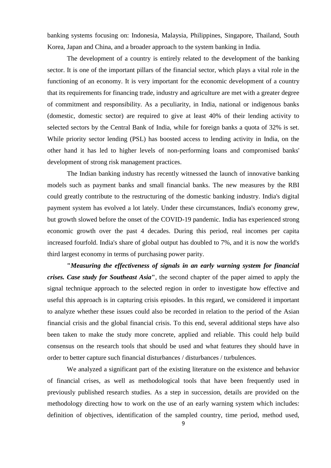banking systems focusing on: Indonesia, Malaysia, Philippines, Singapore, Thailand, South Korea, Japan and China, and a broader approach to the system banking in India.

The development of a country is entirely related to the development of the banking sector. It is one of the important pillars of the financial sector, which plays a vital role in the functioning of an economy. It is very important for the economic development of a country that its requirements for financing trade, industry and agriculture are met with a greater degree of commitment and responsibility. As a peculiarity, in India, national or indigenous banks (domestic, domestic sector) are required to give at least 40% of their lending activity to selected sectors by the Central Bank of India, while for foreign banks a quota of 32% is set. While priority sector lending (PSL) has boosted access to lending activity in India, on the other hand it has led to higher levels of non-performing loans and compromised banks' development of strong risk management practices.

The Indian banking industry has recently witnessed the launch of innovative banking models such as payment banks and small financial banks. The new measures by the RBI could greatly contribute to the restructuring of the domestic banking industry. India's digital payment system has evolved a lot lately. Under these circumstances, India's economy grew, but growth slowed before the onset of the COVID-19 pandemic. India has experienced strong economic growth over the past 4 decades. During this period, real incomes per capita increased fourfold. India's share of global output has doubled to 7%, and it is now the world's third largest economy in terms of purchasing power parity.

**"***Measuring the effectiveness of signals in an early warning system for financial crises. Case study for Southeast Asia***"**, the second chapter of the paper aimed to apply the signal technique approach to the selected region in order to investigate how effective and useful this approach is in capturing crisis episodes. In this regard, we considered it important to analyze whether these issues could also be recorded in relation to the period of the Asian financial crisis and the global financial crisis. To this end, several additional steps have also been taken to make the study more concrete, applied and reliable. This could help build consensus on the research tools that should be used and what features they should have in order to better capture such financial disturbances / disturbances / turbulences.

We analyzed a significant part of the existing literature on the existence and behavior of financial crises, as well as methodological tools that have been frequently used in previously published research studies. As a step in succession, details are provided on the methodology directing how to work on the use of an early warning system which includes: definition of objectives, identification of the sampled country, time period, method used,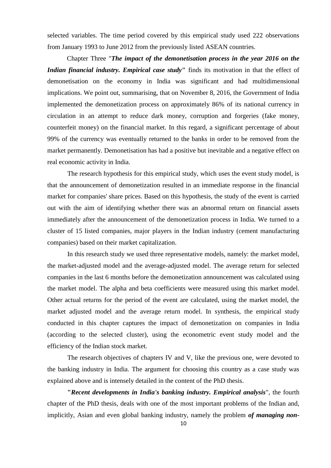selected variables. The time period covered by this empirical study used 222 observations from January 1993 to June 2012 from the previously listed ASEAN countries.

Chapter Three "*The impact of the demonetisation process in the year 2016 on the Indian financial industry. Empirical case study***"** finds its motivation in that the effect of demonetisation on the economy in India was significant and had multidimensional implications. We point out, summarising, that on November 8, 2016, the Government of India implemented the demonetization process on approximately 86% of its national currency in circulation in an attempt to reduce dark money, corruption and forgeries (fake money, counterfeit money) on the financial market. In this regard, a significant percentage of about 99% of the currency was eventually returned to the banks in order to be removed from the market permanently. Demonetisation has had a positive but inevitable and a negative effect on real economic activity in India.

The research hypothesis for this empirical study, which uses the event study model, is that the announcement of demonetization resulted in an immediate response in the financial market for companies' share prices. Based on this hypothesis, the study of the event is carried out with the aim of identifying whether there was an abnormal return on financial assets immediately after the announcement of the demonetization process in India. We turned to a cluster of 15 listed companies, major players in the Indian industry (cement manufacturing companies) based on their market capitalization.

In this research study we used three representative models, namely: the market model, the market-adjusted model and the average-adjusted model. The average return for selected companies in the last 6 months before the demonetization announcement was calculated using the market model. The alpha and beta coefficients were measured using this market model. Other actual returns for the period of the event are calculated, using the market model, the market adjusted model and the average return model. In synthesis, the empirical study conducted in this chapter captures the impact of demonetization on companies in India (according to the selected cluster), using the econometric event study model and the efficiency of the Indian stock market.

The research objectives of chapters IV and V, like the previous one, were devoted to the banking industry in India. The argument for choosing this country as a case study was explained above and is intensely detailed in the content of the PhD thesis.

**"***Recent developments in India's banking industry. Empirical analysis*", the fourth chapter of the PhD thesis, deals with one of the most important problems of the Indian and, implicitly, Asian and even global banking industry, namely the problem *of managing non-*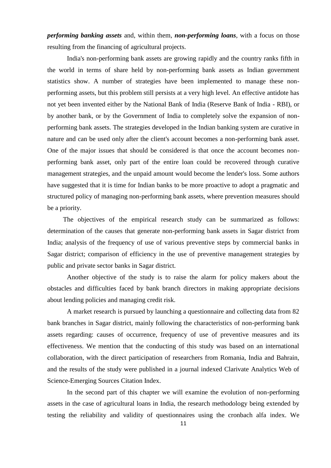*performing banking assets* and, within them, *non-performing loans*, with a focus on those resulting from the financing of agricultural projects.

India's non-performing bank assets are growing rapidly and the country ranks fifth in the world in terms of share held by non-performing bank assets as Indian government statistics show. A number of strategies have been implemented to manage these nonperforming assets, but this problem still persists at a very high level. An effective antidote has not yet been invented either by the National Bank of India (Reserve Bank of India - RBI), or by another bank, or by the Government of India to completely solve the expansion of nonperforming bank assets. The strategies developed in the Indian banking system are curative in nature and can be used only after the client's account becomes a non-performing bank asset. One of the major issues that should be considered is that once the account becomes nonperforming bank asset, only part of the entire loan could be recovered through curative management strategies, and the unpaid amount would become the lender's loss. Some authors have suggested that it is time for Indian banks to be more proactive to adopt a pragmatic and structured policy of managing non-performing bank assets, where prevention measures should be a priority.

The objectives of the empirical research study can be summarized as follows: determination of the causes that generate non-performing bank assets in Sagar district from India; analysis of the frequency of use of various preventive steps by commercial banks in Sagar district; comparison of efficiency in the use of preventive management strategies by public and private sector banks in Sagar district.

Another objective of the study is to raise the alarm for policy makers about the obstacles and difficulties faced by bank branch directors in making appropriate decisions about lending policies and managing credit risk.

A market research is pursued by launching a questionnaire and collecting data from 82 bank branches in Sagar district, mainly following the characteristics of non-performing bank assets regarding: causes of occurrence, frequency of use of preventive measures and its effectiveness. We mention that the conducting of this study was based on an international collaboration, with the direct participation of researchers from Romania, India and Bahrain, and the results of the study were published in a journal indexed Clarivate Analytics Web of Science-Emerging Sources Citation Index.

In the second part of this chapter we will examine the evolution of non-performing assets in the case of agricultural loans in India, the research methodology being extended by testing the reliability and validity of questionnaires using the cronbach alfa index. We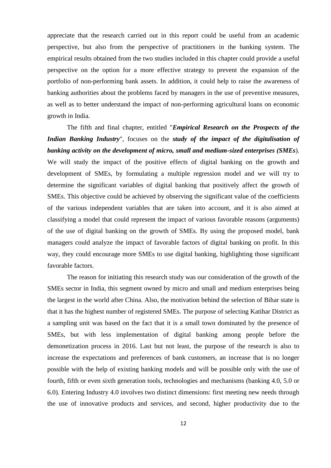appreciate that the research carried out in this report could be useful from an academic perspective, but also from the perspective of practitioners in the banking system. The empirical results obtained from the two studies included in this chapter could provide a useful perspective on the option for a more effective strategy to prevent the expansion of the portfolio of non-performing bank assets. In addition, it could help to raise the awareness of banking authorities about the problems faced by managers in the use of preventive measures, as well as to better understand the impact of non-performing agricultural loans on economic growth in India.

The fifth and final chapter, entitled "*Empirical Research on the Prospects of the Indian Banking Industry*", focuses on the *study of the impact of the digitalisation of banking activity on the development of micro, small and medium-sized enterprises (SMEs*). We will study the impact of the positive effects of digital banking on the growth and development of SMEs, by formulating a multiple regression model and we will try to determine the significant variables of digital banking that positively affect the growth of SMEs. This objective could be achieved by observing the significant value of the coefficients of the various independent variables that are taken into account, and it is also aimed at classifying a model that could represent the impact of various favorable reasons (arguments) of the use of digital banking on the growth of SMEs. By using the proposed model, bank managers could analyze the impact of favorable factors of digital banking on profit. In this way, they could encourage more SMEs to use digital banking, highlighting those significant favorable factors.

The reason for initiating this research study was our consideration of the growth of the SMEs sector in India, this segment owned by micro and small and medium enterprises being the largest in the world after China. Also, the motivation behind the selection of Bihar state is that it has the highest number of registered SMEs. The purpose of selecting Katihar District as a sampling unit was based on the fact that it is a small town dominated by the presence of SMEs, but with less implementation of digital banking among people before the demonetization process in 2016. Last but not least, the purpose of the research is also to increase the expectations and preferences of bank customers, an increase that is no longer possible with the help of existing banking models and will be possible only with the use of fourth, fifth or even sixth generation tools, technologies and mechanisms (banking 4.0, 5.0 or 6.0). Entering Industry 4.0 involves two distinct dimensions: first meeting new needs through the use of innovative products and services, and second, higher productivity due to the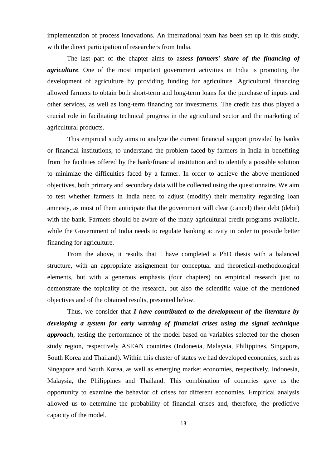implementation of process innovations. An international team has been set up in this study, with the direct participation of researchers from India.

The last part of the chapter aims to a*ssess farmers' share of the financing of agriculture*. One of the most important government activities in India is promoting the development of agriculture by providing funding for agriculture. Agricultural financing allowed farmers to obtain both short-term and long-term loans for the purchase of inputs and other services, as well as long-term financing for investments. The credit has thus played a crucial role in facilitating technical progress in the agricultural sector and the marketing of agricultural products.

This empirical study aims to analyze the current financial support provided by banks or financial institutions; to understand the problem faced by farmers in India in benefiting from the facilities offered by the bank/financial institution and to identify a possible solution to minimize the difficulties faced by a farmer. In order to achieve the above mentioned objectives, both primary and secondary data will be collected using the questionnaire. We aim to test whether farmers in India need to adjust (modify) their mentality regarding loan amnesty, as most of them anticipate that the government will clear (cancel) their debt (debit) with the bank. Farmers should be aware of the many agricultural credit programs available, while the Government of India needs to regulate banking activity in order to provide better financing for agriculture.

From the above, it results that I have completed a PhD thesis with a balanced structure, with an appropriate assignement for conceptual and theoretical-methodological elements, but with a generous emphasis (four chapters) on empirical research just to demonstrate the topicality of the research, but also the scientific value of the mentioned objectives and of the obtained results, presented below.

Thus, we consider that *I have contributed to the development of the literature by developing a system for early warning of financial crises using the signal technique approach*, testing the performance of the model based on variables selected for the chosen study region, respectively ASEAN countries (Indonesia, Malaysia, Philippines, Singapore, South Korea and Thailand). Within this cluster of states we had developed economies, such as Singapore and South Korea, as well as emerging market economies, respectively, Indonesia, Malaysia, the Philippines and Thailand. This combination of countries gave us the opportunity to examine the behavior of crises for different economies. Empirical analysis allowed us to determine the probability of financial crises and, therefore, the predictive capacity of the model.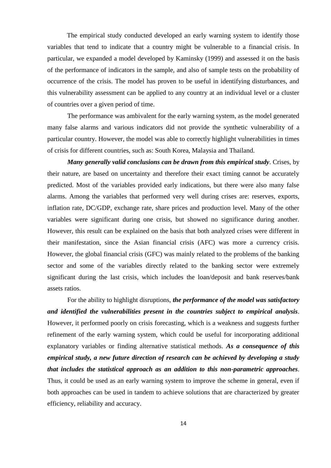The empirical study conducted developed an early warning system to identify those variables that tend to indicate that a country might be vulnerable to a financial crisis. In particular, we expanded a model developed by Kaminsky (1999) and assessed it on the basis of the performance of indicators in the sample, and also of sample tests on the probability of occurrence of the crisis. The model has proven to be useful in identifying disturbances, and this vulnerability assessment can be applied to any country at an individual level or a cluster of countries over a given period of time.

The performance was ambivalent for the early warning system, as the model generated many false alarms and various indicators did not provide the synthetic vulnerability of a particular country. However, the model was able to correctly highlight vulnerabilities in times of crisis for different countries, such as: South Korea, Malaysia and Thailand.

*Many generally valid conclusions can be drawn from this empirical study*. Crises, by their nature, are based on uncertainty and therefore their exact timing cannot be accurately predicted. Most of the variables provided early indications, but there were also many false alarms. Among the variables that performed very well during crises are: reserves, exports, inflation rate, DC/GDP, exchange rate, share prices and production level. Many of the other variables were significant during one crisis, but showed no significance during another. However, this result can be explained on the basis that both analyzed crises were different in their manifestation, since the Asian financial crisis (AFC) was more a currency crisis. However, the global financial crisis (GFC) was mainly related to the problems of the banking sector and some of the variables directly related to the banking sector were extremely significant during the last crisis, which includes the loan/deposit and bank reserves/bank assets ratios.

For the ability to highlight disruptions, *the performance of the model was satisfactory and identified the vulnerabilities present in the countries subject to empirical analysis*. However, it performed poorly on crisis forecasting, which is a weakness and suggests further refinement of the early warning system, which could be useful for incorporating additional explanatory variables or finding alternative statistical methods. *As a consequence of this empirical study, a new future direction of research can be achieved by developing a study that includes the statistical approach as an addition to this non-parametric approaches*. Thus, it could be used as an early warning system to improve the scheme in general, even if both approaches can be used in tandem to achieve solutions that are characterized by greater efficiency, reliability and accuracy.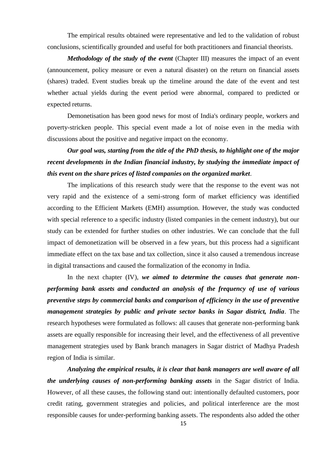The empirical results obtained were representative and led to the validation of robust conclusions, scientifically grounded and useful for both practitioners and financial theorists.

*Methodology of the study of the event* (Chapter III) measures the impact of an event (announcement, policy measure or even a natural disaster) on the return on financial assets (shares) traded. Event studies break up the timeline around the date of the event and test whether actual yields during the event period were abnormal, compared to predicted or expected returns.

Demonetisation has been good news for most of India's ordinary people, workers and poverty-stricken people. This special event made a lot of noise even in the media with discussions about the positive and negative impact on the economy.

*Our goal was, starting from the title of the PhD thesis, to highlight one of the major recent developments in the Indian financial industry, by studying the immediate impact of this event on the share prices of listed companies on the organized market*.

The implications of this research study were that the response to the event was not very rapid and the existence of a semi-strong form of market efficiency was identified according to the Efficient Markets (EMH) assumption. However, the study was conducted with special reference to a specific industry (listed companies in the cement industry), but our study can be extended for further studies on other industries. We can conclude that the full impact of demonetization will be observed in a few years, but this process had a significant immediate effect on the tax base and tax collection, since it also caused a tremendous increase in digital transactions and caused the formalization of the economy in India.

In the next chapter (IV), *we aimed to determine the causes that generate nonperforming bank assets and conducted an analysis of the frequency of use of various preventive steps by commercial banks and comparison of efficiency in the use of preventive management strategies by public and private sector banks in Sagar district, India*. The research hypotheses were formulated as follows: all causes that generate non-performing bank assets are equally responsible for increasing their level, and the effectiveness of all preventive management strategies used by Bank branch managers in Sagar district of Madhya Pradesh region of India is similar.

*Analyzing the empirical results, it is clear that bank managers are well aware of all the underlying causes of non-performing banking assets* in the Sagar district of India. However, of all these causes, the following stand out: intentionally defaulted customers, poor credit rating, government strategies and policies, and political interference are the most responsible causes for under-performing banking assets. The respondents also added the other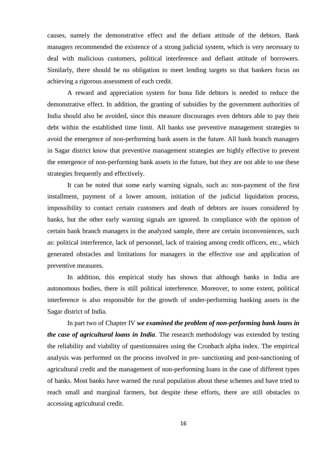causes, namely the demonstrative effect and the defiant attitude of the debtors. Bank managers recommended the existence of a strong judicial system, which is very necessary to deal with malicious customers, political interference and defiant attitude of borrowers. Similarly, there should be no obligation to meet lending targets so that bankers focus on achieving a rigorous assessment of each credit.

A reward and appreciation system for bona fide debtors is needed to reduce the demonstrative effect. In addition, the granting of subsidies by the government authorities of India should also be avoided, since this measure discourages even debtors able to pay their debt within the established time limit. All banks use preventive management strategies to avoid the emergence of non-performing bank assets in the future. All bank branch managers in Sagar district know that preventive management strategies are highly effective to prevent the emergence of non-performing bank assets in the future, but they are not able to use these strategies frequently and effectively.

It can be noted that some early warning signals, such as: non-payment of the first installment, payment of a lower amount, initiation of the judicial liquidation process, impossibility to contact certain customers and death of debtors are issues considered by banks, but the other early warning signals are ignored. In compliance with the opinion of certain bank branch managers in the analyzed sample, there are certain inconveniences, such as: political interference, lack of personnel, lack of training among credit officers, etc., which generated obstacles and limitations for managers in the effective use and application of preventive measures.

In addition, this empirical study has shown that although banks in India are autonomous bodies, there is still political interference. Moreover, to some extent, political interference is also responsible for the growth of under-performing banking assets in the Sagar district of India.

In part two of Chapter IV *we examined the problem of non-performing bank loans in the case of agricultural loans in India*. The research methodology was extended by testing the reliability and viability of questionnaires using the Cronbach alpha index. The empirical analysis was performed on the process involved in pre- sanctioning and post-sanctioning of agricultural credit and the management of non-performing loans in the case of different types of banks. Most banks have warned the rural population about these schemes and have tried to reach small and marginal farmers, but despite these efforts, there are still obstacles to accessing agricultural credit.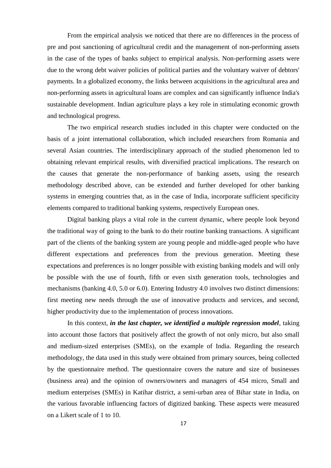From the empirical analysis we noticed that there are no differences in the process of pre and post sanctioning of agricultural credit and the management of non-performing assets in the case of the types of banks subject to empirical analysis. Non-performing assets were due to the wrong debt waiver policies of political parties and the voluntary waiver of debtors' payments. In a globalized economy, the links between acquisitions in the agricultural area and non-performing assets in agricultural loans are complex and can significantly influence India's sustainable development. Indian agriculture plays a key role in stimulating economic growth and technological progress.

The two empirical research studies included in this chapter were conducted on the basis of a joint international collaboration, which included researchers from Romania and several Asian countries. The interdisciplinary approach of the studied phenomenon led to obtaining relevant empirical results, with diversified practical implications. The research on the causes that generate the non-performance of banking assets, using the research methodology described above, can be extended and further developed for other banking systems in emerging countries that, as in the case of India, incorporate sufficient specificity elements compared to traditional banking systems, respectively European ones.

Digital banking plays a vital role in the current dynamic, where people look beyond the traditional way of going to the bank to do their routine banking transactions. A significant part of the clients of the banking system are young people and middle-aged people who have different expectations and preferences from the previous generation. Meeting these expectations and preferences is no longer possible with existing banking models and will only be possible with the use of fourth, fifth or even sixth generation tools, technologies and mechanisms (banking 4.0, 5.0 or 6.0). Entering Industry 4.0 involves two distinct dimensions: first meeting new needs through the use of innovative products and services, and second, higher productivity due to the implementation of process innovations.

In this context, *in the last chapter, we identified a multiple regression model*, taking into account those factors that positively affect the growth of not only micro, but also small and medium-sized enterprises (SMEs), on the example of India. Regarding the research methodology, the data used in this study were obtained from primary sources, being collected by the questionnaire method. The questionnaire covers the nature and size of businesses (business area) and the opinion of owners/owners and managers of 454 micro, Small and medium enterprises (SMEs) in Katihar district, a semi-urban area of Bihar state in India, on the various favorable influencing factors of digitized banking. These aspects were measured on a Likert scale of 1 to 10.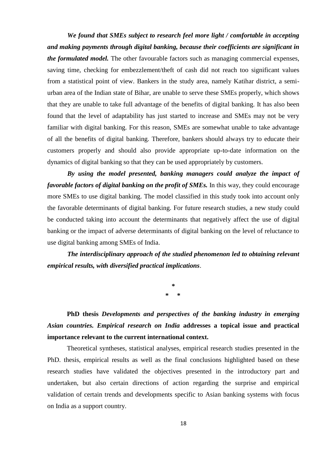*We found that SMEs subject to research feel more light / comfortable in accepting and making payments through digital banking, because their coefficients are significant in the formulated model.* The other favourable factors such as managing commercial expenses, saving time, checking for embezzlement/theft of cash did not reach too significant values from a statistical point of view. Bankers in the study area, namely Katihar district, a semiurban area of the Indian state of Bihar, are unable to serve these SMEs properly, which shows that they are unable to take full advantage of the benefits of digital banking. It has also been found that the level of adaptability has just started to increase and SMEs may not be very familiar with digital banking. For this reason, SMEs are somewhat unable to take advantage of all the benefits of digital banking. Therefore, bankers should always try to educate their customers properly and should also provide appropriate up-to-date information on the dynamics of digital banking so that they can be used appropriately by customers.

*By using the model presented, banking managers could analyze the impact of favorable factors of digital banking on the profit of SMEs.* In this way, they could encourage more SMEs to use digital banking. The model classified in this study took into account only the favorable determinants of digital banking. For future research studies, a new study could be conducted taking into account the determinants that negatively affect the use of digital banking or the impact of adverse determinants of digital banking on the level of reluctance to use digital banking among SMEs of India.

*The interdisciplinary approach of the studied phenomenon led to obtaining relevant empirical results, with diversified practical implications*.

> **\* \* \***

**PhD thesis** *Developments and perspectives of the banking industry in emerging Asian countries. Empirical research on India* **addresses a topical issue and practical importance relevant to the current international context.**

Theoretical syntheses, statistical analyses, empirical research studies presented in the PhD. thesis, empirical results as well as the final conclusions highlighted based on these research studies have validated the objectives presented in the introductory part and undertaken, but also certain directions of action regarding the surprise and empirical validation of certain trends and developments specific to Asian banking systems with focus on India as a support country.